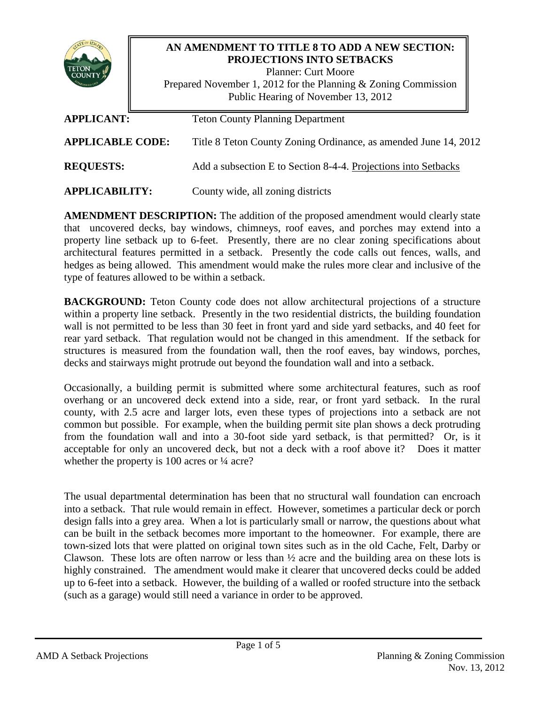

# **AN AMENDMENT TO TITLE 8 TO ADD A NEW SECTION: PROJECTIONS INTO SETBACKS**

Planner: Curt Moore Prepared November 1, 2012 for the Planning & Zoning Commission Public Hearing of November 13, 2012

| <b>APPLICANT:</b>       | <b>Teton County Planning Department</b>                         |
|-------------------------|-----------------------------------------------------------------|
| <b>APPLICABLE CODE:</b> | Title 8 Teton County Zoning Ordinance, as amended June 14, 2012 |
| <b>REQUESTS:</b>        | Add a subsection E to Section 8-4-4. Projections into Setbacks  |
| <b>APPLICABILITY:</b>   | County wide, all zoning districts                               |

**AMENDMENT DESCRIPTION:** The addition of the proposed amendment would clearly state that uncovered decks, bay windows, chimneys, roof eaves, and porches may extend into a property line setback up to 6-feet. Presently, there are no clear zoning specifications about architectural features permitted in a setback. Presently the code calls out fences, walls, and hedges as being allowed. This amendment would make the rules more clear and inclusive of the type of features allowed to be within a setback.

**BACKGROUND:** Teton County code does not allow architectural projections of a structure within a property line setback. Presently in the two residential districts, the building foundation wall is not permitted to be less than 30 feet in front yard and side yard setbacks, and 40 feet for rear yard setback. That regulation would not be changed in this amendment. If the setback for structures is measured from the foundation wall, then the roof eaves, bay windows, porches, decks and stairways might protrude out beyond the foundation wall and into a setback.

Occasionally, a building permit is submitted where some architectural features, such as roof overhang or an uncovered deck extend into a side, rear, or front yard setback. In the rural county, with 2.5 acre and larger lots, even these types of projections into a setback are not common but possible. For example, when the building permit site plan shows a deck protruding from the foundation wall and into a 30-foot side yard setback, is that permitted? Or, is it acceptable for only an uncovered deck, but not a deck with a roof above it? Does it matter whether the property is 100 acres or  $\frac{1}{4}$  acre?

The usual departmental determination has been that no structural wall foundation can encroach into a setback. That rule would remain in effect. However, sometimes a particular deck or porch design falls into a grey area. When a lot is particularly small or narrow, the questions about what can be built in the setback becomes more important to the homeowner. For example, there are town-sized lots that were platted on original town sites such as in the old Cache, Felt, Darby or Clawson. These lots are often narrow or less than  $\frac{1}{2}$  acre and the building area on these lots is highly constrained. The amendment would make it clearer that uncovered decks could be added up to 6-feet into a setback. However, the building of a walled or roofed structure into the setback (such as a garage) would still need a variance in order to be approved.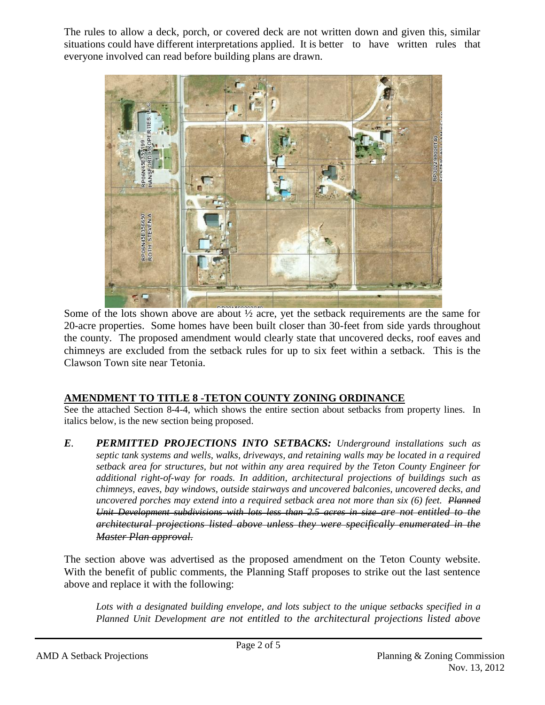The rules to allow a deck, porch, or covered deck are not written down and given this, similar situations could have different interpretations applied. It is better to have written rules that everyone involved can read before building plans are drawn.



Some of the lots shown above are about ½ acre, yet the setback requirements are the same for 20-acre properties. Some homes have been built closer than 30-feet from side yards throughout the county. The proposed amendment would clearly state that uncovered decks, roof eaves and chimneys are excluded from the setback rules for up to six feet within a setback. This is the Clawson Town site near Tetonia.

# **AMENDMENT TO TITLE 8 -TETON COUNTY ZONING ORDINANCE**

See the attached Section 8-4-4, which shows the entire section about setbacks from property lines. In italics below, is the new section being proposed.

*E. PERMITTED PROJECTIONS INTO SETBACKS: Underground installations such as septic tank systems and wells, walks, driveways, and retaining walls may be located in a required setback area for structures, but not within any area required by the Teton County Engineer for additional right-of-way for roads. In addition, architectural projections of buildings such as chimneys, eaves, bay windows, outside stairways and uncovered balconies, uncovered decks, and uncovered porches may extend into a required setback area not more than six (6) feet. Planned Unit Development subdivisions with lots less than 2.5 acres in size are not entitled to the architectural projections listed above unless they were specifically enumerated in the Master Plan approval.* 

The section above was advertised as the proposed amendment on the Teton County website. With the benefit of public comments, the Planning Staff proposes to strike out the last sentence above and replace it with the following:

*Lots with a designated building envelope, and lots subject to the unique setbacks specified in a Planned Unit Development are not entitled to the architectural projections listed above*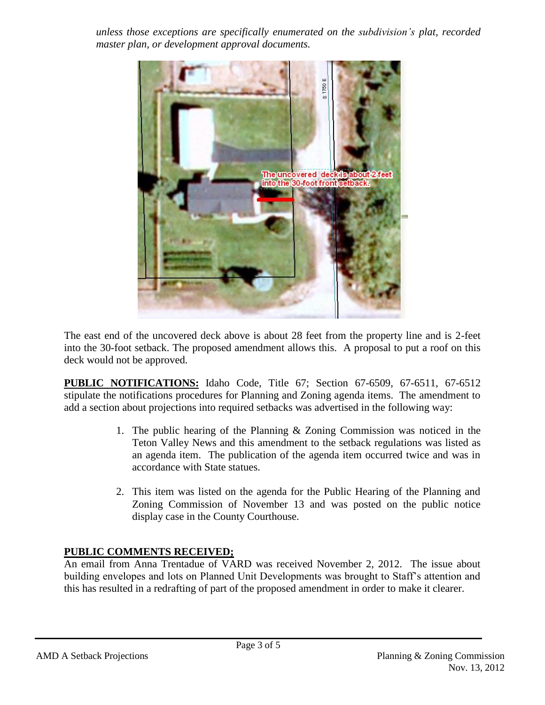*unless those exceptions are specifically enumerated on the subdivision's plat, recorded master plan, or development approval documents.* 



The east end of the uncovered deck above is about 28 feet from the property line and is 2-feet into the 30-foot setback. The proposed amendment allows this. A proposal to put a roof on this deck would not be approved.

**PUBLIC NOTIFICATIONS:** Idaho Code, Title 67; Section 67-6509, 67-6511, 67-6512 stipulate the notifications procedures for Planning and Zoning agenda items. The amendment to add a section about projections into required setbacks was advertised in the following way:

- 1. The public hearing of the Planning & Zoning Commission was noticed in the Teton Valley News and this amendment to the setback regulations was listed as an agenda item. The publication of the agenda item occurred twice and was in accordance with State statues.
- 2. This item was listed on the agenda for the Public Hearing of the Planning and Zoning Commission of November 13 and was posted on the public notice display case in the County Courthouse.

# **PUBLIC COMMENTS RECEIVED;**

An email from Anna Trentadue of VARD was received November 2, 2012. The issue about building envelopes and lots on Planned Unit Developments was brought to Staff's attention and this has resulted in a redrafting of part of the proposed amendment in order to make it clearer.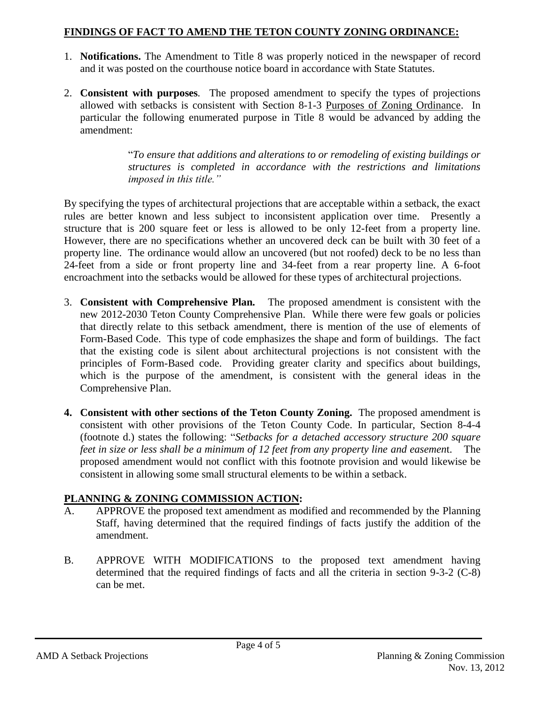## **FINDINGS OF FACT TO AMEND THE TETON COUNTY ZONING ORDINANCE:**

- 1. **Notifications.** The Amendment to Title 8 was properly noticed in the newspaper of record and it was posted on the courthouse notice board in accordance with State Statutes.
- 2. **Consistent with purposes***.* The proposed amendment to specify the types of projections allowed with setbacks is consistent with Section 8-1-3 Purposes of Zoning Ordinance. In particular the following enumerated purpose in Title 8 would be advanced by adding the amendment:

"*To ensure that additions and alterations to or remodeling of existing buildings or structures is completed in accordance with the restrictions and limitations imposed in this title."*

By specifying the types of architectural projections that are acceptable within a setback, the exact rules are better known and less subject to inconsistent application over time. Presently a structure that is 200 square feet or less is allowed to be only 12-feet from a property line. However, there are no specifications whether an uncovered deck can be built with 30 feet of a property line. The ordinance would allow an uncovered (but not roofed) deck to be no less than 24-feet from a side or front property line and 34-feet from a rear property line. A 6-foot encroachment into the setbacks would be allowed for these types of architectural projections.

- 3. **Consistent with Comprehensive Plan***.* The proposed amendment is consistent with the new 2012-2030 Teton County Comprehensive Plan. While there were few goals or policies that directly relate to this setback amendment, there is mention of the use of elements of Form-Based Code. This type of code emphasizes the shape and form of buildings. The fact that the existing code is silent about architectural projections is not consistent with the principles of Form-Based code. Providing greater clarity and specifics about buildings, which is the purpose of the amendment, is consistent with the general ideas in the Comprehensive Plan.
- **4. Consistent with other sections of the Teton County Zoning.** The proposed amendment is consistent with other provisions of the Teton County Code. In particular, Section 8-4-4 (footnote d.) states the following: "*Setbacks for a detached accessory structure 200 square feet in size or less shall be a minimum of 12 feet from any property line and easemen*t. The proposed amendment would not conflict with this footnote provision and would likewise be consistent in allowing some small structural elements to be within a setback.

# **PLANNING & ZONING COMMISSION ACTION:**

- A. APPROVE the proposed text amendment as modified and recommended by the Planning Staff, having determined that the required findings of facts justify the addition of the amendment.
- B. APPROVE WITH MODIFICATIONS to the proposed text amendment having determined that the required findings of facts and all the criteria in section 9-3-2 (C-8) can be met.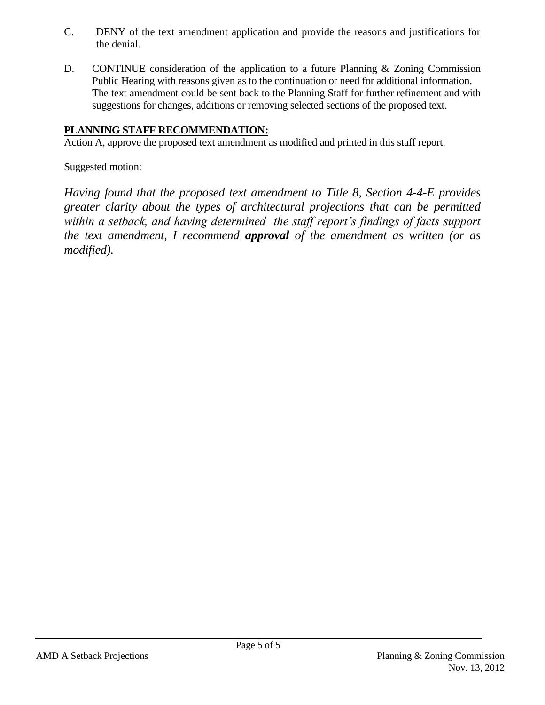- C. DENY of the text amendment application and provide the reasons and justifications for the denial.
- D. CONTINUE consideration of the application to a future Planning & Zoning Commission Public Hearing with reasons given as to the continuation or need for additional information. The text amendment could be sent back to the Planning Staff for further refinement and with suggestions for changes, additions or removing selected sections of the proposed text.

# **PLANNING STAFF RECOMMENDATION:**

Action A, approve the proposed text amendment as modified and printed in this staff report.

Suggested motion:

*Having found that the proposed text amendment to Title 8, Section 4-4-E provides greater clarity about the types of architectural projections that can be permitted within a setback, and having determined the staff report's findings of facts support the text amendment, I recommend approval of the amendment as written (or as modified).*